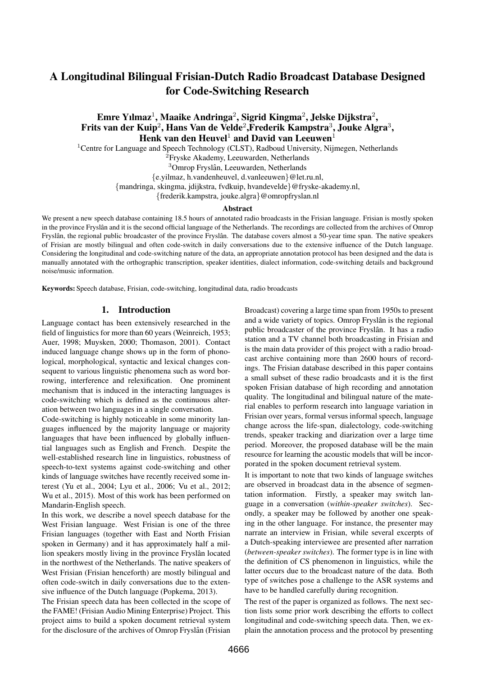# A Longitudinal Bilingual Frisian-Dutch Radio Broadcast Database Designed for Code-Switching Research

# Emre Yılmaz<sup>1</sup>, Maaike Andringa<sup>2</sup>, Sigrid Kingma<sup>2</sup>, Jelske Dijkstra<sup>2</sup>, Frits van der Kuip $^2$ , Hans Van de Velde $^2$ ,Frederik Kampstra $^3$ , Jouke Algra $^3,$ Henk van den Heuvel<sup>1</sup> and David van Leeuwen<sup>1</sup>

<sup>1</sup>Centre for Language and Speech Technology (CLST), Radboud University, Nijmegen, Netherlands

<sup>2</sup>Fryske Akademy, Leeuwarden, Netherlands

<sup>3</sup>Omrop Fryslân, Leeuwarden, Netherlands

{e.yilmaz, h.vandenheuvel, d.vanleeuwen}@let.ru.nl,

{mandringa, skingma, jdijkstra, fvdkuip, hvandevelde}@fryske-akademy.nl,

{frederik.kampstra, jouke.algra}@omropfryslan.nl

#### Abstract

We present a new speech database containing 18.5 hours of annotated radio broadcasts in the Frisian language. Frisian is mostly spoken in the province Fryslân and it is the second official language of the Netherlands. The recordings are collected from the archives of Omrop Fryslân, the regional public broadcaster of the province Fryslân. The database covers almost a 50-year time span. The native speakers of Frisian are mostly bilingual and often code-switch in daily conversations due to the extensive influence of the Dutch language. Considering the longitudinal and code-switching nature of the data, an appropriate annotation protocol has been designed and the data is manually annotated with the orthographic transcription, speaker identities, dialect information, code-switching details and background noise/music information.

Keywords: Speech database, Frisian, code-switching, longitudinal data, radio broadcasts

### 1. Introduction

Language contact has been extensively researched in the field of linguistics for more than 60 years (Weinreich, 1953; Auer, 1998; Muysken, 2000; Thomason, 2001). Contact induced language change shows up in the form of phonological, morphological, syntactic and lexical changes consequent to various linguistic phenomena such as word borrowing, interference and relexification. One prominent mechanism that is induced in the interacting languages is code-switching which is defined as the continuous alteration between two languages in a single conversation.

Code-switching is highly noticeable in some minority languages influenced by the majority language or majority languages that have been influenced by globally influential languages such as English and French. Despite the well-established research line in linguistics, robustness of speech-to-text systems against code-switching and other kinds of language switches have recently received some interest (Yu et al., 2004; Lyu et al., 2006; Vu et al., 2012; Wu et al., 2015). Most of this work has been performed on Mandarin-English speech.

In this work, we describe a novel speech database for the West Frisian language. West Frisian is one of the three Frisian languages (together with East and North Frisian spoken in Germany) and it has approximately half a million speakers mostly living in the province Fryslân located in the northwest of the Netherlands. The native speakers of West Frisian (Frisian henceforth) are mostly bilingual and often code-switch in daily conversations due to the extensive influence of the Dutch language (Popkema, 2013).

The Frisian speech data has been collected in the scope of the FAME! (Frisian Audio Mining Enterprise) Project. This project aims to build a spoken document retrieval system for the disclosure of the archives of Omrop Fryslân (Frisian Broadcast) covering a large time span from 1950s to present and a wide variety of topics. Omrop Fryslân is the regional public broadcaster of the province Fryslân. It has a radio station and a TV channel both broadcasting in Frisian and is the main data provider of this project with a radio broadcast archive containing more than 2600 hours of recordings. The Frisian database described in this paper contains a small subset of these radio broadcasts and it is the first spoken Frisian database of high recording and annotation quality. The longitudinal and bilingual nature of the material enables to perform research into language variation in Frisian over years, formal versus informal speech, language change across the life-span, dialectology, code-switching trends, speaker tracking and diarization over a large time period. Moreover, the proposed database will be the main resource for learning the acoustic models that will be incorporated in the spoken document retrieval system.

It is important to note that two kinds of language switches are observed in broadcast data in the absence of segmentation information. Firstly, a speaker may switch language in a conversation (*within-speaker switches*). Secondly, a speaker may be followed by another one speaking in the other language. For instance, the presenter may narrate an interview in Frisian, while several excerpts of a Dutch-speaking interviewee are presented after narration (*between-speaker switches*). The former type is in line with the definition of CS phenomenon in linguistics, while the latter occurs due to the broadcast nature of the data. Both type of switches pose a challenge to the ASR systems and have to be handled carefully during recognition.

The rest of the paper is organized as follows. The next section lists some prior work describing the efforts to collect longitudinal and code-switching speech data. Then, we explain the annotation process and the protocol by presenting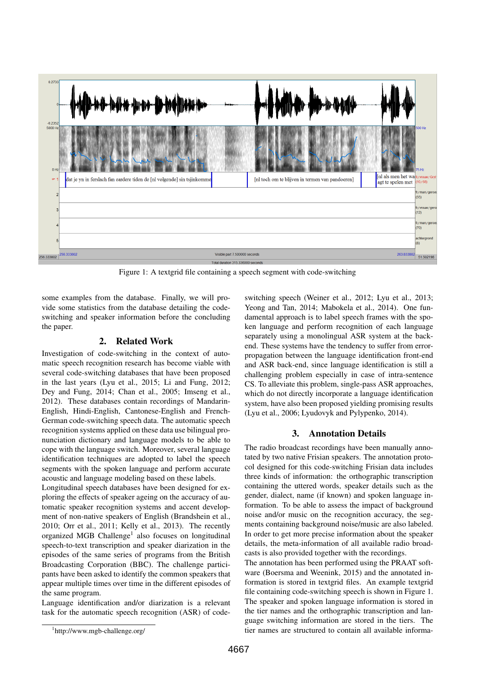

Figure 1: A textgrid file containing a speech segment with code-switching

some examples from the database. Finally, we will provide some statistics from the database detailing the codeswitching and speaker information before the concluding the paper.

# 2. Related Work

Investigation of code-switching in the context of automatic speech recognition research has become viable with several code-switching databases that have been proposed in the last years (Lyu et al., 2015; Li and Fung, 2012; Dey and Fung, 2014; Chan et al., 2005; Imseng et al., 2012). These databases contain recordings of Mandarin-English, Hindi-English, Cantonese-English and French-German code-switching speech data. The automatic speech recognition systems applied on these data use bilingual pronunciation dictionary and language models to be able to cope with the language switch. Moreover, several language identification techniques are adopted to label the speech segments with the spoken language and perform accurate acoustic and language modeling based on these labels.

Longitudinal speech databases have been designed for exploring the effects of speaker ageing on the accuracy of automatic speaker recognition systems and accent development of non-native speakers of English (Brandshein et al., 2010; Orr et al., 2011; Kelly et al., 2013). The recently organized MGB Challenge<sup>1</sup> also focuses on longitudinal speech-to-text transcription and speaker diarization in the episodes of the same series of programs from the British Broadcasting Corporation (BBC). The challenge participants have been asked to identify the common speakers that appear multiple times over time in the different episodes of the same program.

Language identification and/or diarization is a relevant task for the automatic speech recognition (ASR) of codeswitching speech (Weiner et al., 2012; Lyu et al., 2013; Yeong and Tan, 2014; Mabokela et al., 2014). One fundamental approach is to label speech frames with the spoken language and perform recognition of each language separately using a monolingual ASR system at the backend. These systems have the tendency to suffer from errorpropagation between the language identification front-end and ASR back-end, since language identification is still a challenging problem especially in case of intra-sentence CS. To alleviate this problem, single-pass ASR approaches, which do not directly incorporate a language identification system, have also been proposed yielding promising results (Lyu et al., 2006; Lyudovyk and Pylypenko, 2014).

# 3. Annotation Details

The radio broadcast recordings have been manually annotated by two native Frisian speakers. The annotation protocol designed for this code-switching Frisian data includes three kinds of information: the orthographic transcription containing the uttered words, speaker details such as the gender, dialect, name (if known) and spoken language information. To be able to assess the impact of background noise and/or music on the recognition accuracy, the segments containing background noise/music are also labeled. In order to get more precise information about the speaker details, the meta-information of all available radio broadcasts is also provided together with the recordings.

The annotation has been performed using the PRAAT software (Boersma and Weenink, 2015) and the annotated information is stored in textgrid files. An example textgrid file containing code-switching speech is shown in Figure 1. The speaker and spoken language information is stored in the tier names and the orthographic transcription and language switching information are stored in the tiers. The tier names are structured to contain all available informa-

<sup>1</sup> http://www.mgb-challenge.org/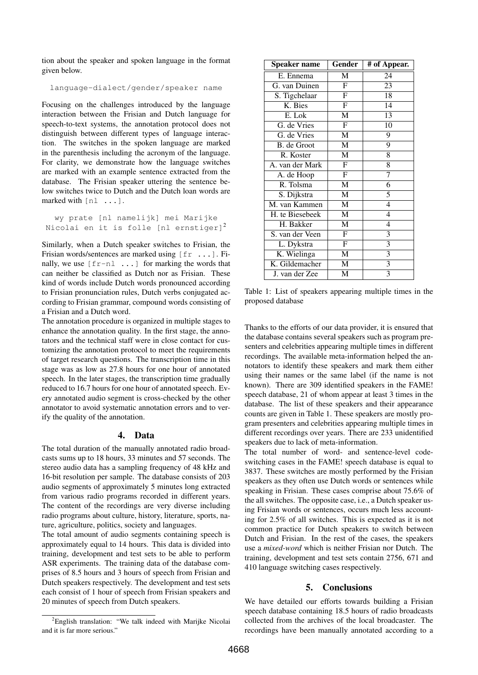tion about the speaker and spoken language in the format given below.

language-dialect/gender/speaker name

Focusing on the challenges introduced by the language interaction between the Frisian and Dutch language for speech-to-text systems, the annotation protocol does not distinguish between different types of language interaction. The switches in the spoken language are marked in the parenthesis including the acronym of the language. For clarity, we demonstrate how the language switches are marked with an example sentence extracted from the database. The Frisian speaker uttering the sentence below switches twice to Dutch and the Dutch loan words are marked with [nl ...].

wy prate [nl namelijk] mei Marijke Nicolai en it is folle [nl ernstiger]<sup>2</sup>

Similarly, when a Dutch speaker switches to Frisian, the Frisian words/sentences are marked using  $[fr \dots]$ . Finally, we use  $[fr-n] \dots$  for marking the words that can neither be classified as Dutch nor as Frisian. These kind of words include Dutch words pronounced according to Frisian pronunciation rules, Dutch verbs conjugated according to Frisian grammar, compound words consisting of a Frisian and a Dutch word.

The annotation procedure is organized in multiple stages to enhance the annotation quality. In the first stage, the annotators and the technical staff were in close contact for customizing the annotation protocol to meet the requirements of target research questions. The transcription time in this stage was as low as 27.8 hours for one hour of annotated speech. In the later stages, the transcription time gradually reduced to 16.7 hours for one hour of annotated speech. Every annotated audio segment is cross-checked by the other annotator to avoid systematic annotation errors and to verify the quality of the annotation.

#### 4. Data

The total duration of the manually annotated radio broadcasts sums up to 18 hours, 33 minutes and 57 seconds. The stereo audio data has a sampling frequency of 48 kHz and 16-bit resolution per sample. The database consists of 203 audio segments of approximately 5 minutes long extracted from various radio programs recorded in different years. The content of the recordings are very diverse including radio programs about culture, history, literature, sports, nature, agriculture, politics, society and languages.

The total amount of audio segments containing speech is approximately equal to 14 hours. This data is divided into training, development and test sets to be able to perform ASR experiments. The training data of the database comprises of 8.5 hours and 3 hours of speech from Frisian and Dutch speakers respectively. The development and test sets each consist of 1 hour of speech from Frisian speakers and 20 minutes of speech from Dutch speakers.

| Speaker name    | Gender                    | # of Appear.            |
|-----------------|---------------------------|-------------------------|
| E. Ennema       | М                         | 24                      |
| G. van Duinen   | F                         | 23                      |
| S. Tigchelaar   | F                         | 18                      |
| K. Bies         | F                         | 14                      |
| E. Lok          | $\overline{\mathbf{M}}$   | 13                      |
| G. de Vries     | F                         | 10                      |
| G. de Vries     | M                         | 9                       |
| B. de Groot     | M                         | 9                       |
| R. Koster       | M                         | 8                       |
| A. van der Mark | F                         | 8                       |
| A. de Hoop      | $\overline{\mathrm{F}}$   | 7                       |
| R. Tolsma       | M                         | 6                       |
| S. Dijkstra     | M                         | 5                       |
| M. van Kammen   | M                         | $\overline{4}$          |
| H. te Biesebeek | M                         | 4                       |
| H. Bakker       | $\overline{\mathbf{M}}$   | 4                       |
| S. van der Veen | $\boldsymbol{\mathrm{F}}$ | 3                       |
| L. Dykstra      | F                         | 3                       |
| K. Wielinga     | M                         | $\overline{\mathbf{3}}$ |
| K. Gildemacher  | M                         | 3                       |
| J. van der Zee  | М                         | 3                       |

Table 1: List of speakers appearing multiple times in the proposed database

Thanks to the efforts of our data provider, it is ensured that the database contains several speakers such as program presenters and celebrities appearing multiple times in different recordings. The available meta-information helped the annotators to identify these speakers and mark them either using their names or the same label (if the name is not known). There are 309 identified speakers in the FAME! speech database, 21 of whom appear at least 3 times in the database. The list of these speakers and their appearance counts are given in Table 1. These speakers are mostly program presenters and celebrities appearing multiple times in different recordings over years. There are 233 unidentified speakers due to lack of meta-information.

The total number of word- and sentence-level codeswitching cases in the FAME! speech database is equal to 3837. These switches are mostly performed by the Frisian speakers as they often use Dutch words or sentences while speaking in Frisian. These cases comprise about 75.6% of the all switches. The opposite case, i.e., a Dutch speaker using Frisian words or sentences, occurs much less accounting for 2.5% of all switches. This is expected as it is not common practice for Dutch speakers to switch between Dutch and Frisian. In the rest of the cases, the speakers use a *mixed-word* which is neither Frisian nor Dutch. The training, development and test sets contain 2756, 671 and 410 language switching cases respectively.

#### 5. Conclusions

We have detailed our efforts towards building a Frisian speech database containing 18.5 hours of radio broadcasts collected from the archives of the local broadcaster. The recordings have been manually annotated according to a

 ${}^{2}$ English translation: "We talk indeed with Marijke Nicolai and it is far more serious."